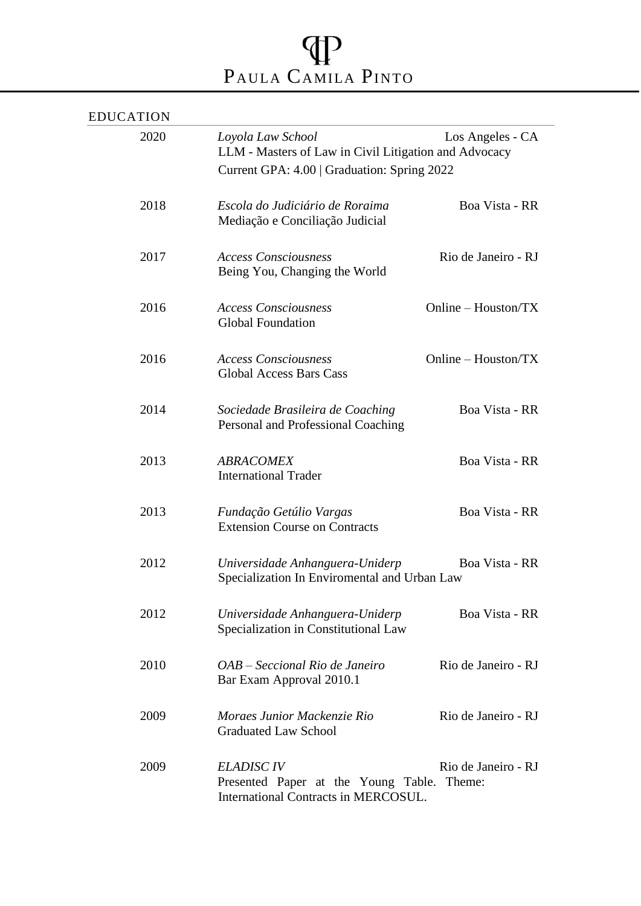## PAULA CAMILA PINTO

| <b>EDUCATION</b> |                                                                                                                                               |                       |
|------------------|-----------------------------------------------------------------------------------------------------------------------------------------------|-----------------------|
| 2020             | Loyola Law School<br>Los Angeles - CA<br>LLM - Masters of Law in Civil Litigation and Advocacy<br>Current GPA: 4.00   Graduation: Spring 2022 |                       |
| 2018             | Escola do Judiciário de Roraima<br>Mediação e Conciliação Judicial                                                                            | Boa Vista - RR        |
| 2017             | <b>Access Consciousness</b><br>Being You, Changing the World                                                                                  | Rio de Janeiro - RJ   |
| 2016             | <b>Access Consciousness</b><br><b>Global Foundation</b>                                                                                       | Online - Houston/TX   |
| 2016             | <b>Access Consciousness</b><br><b>Global Access Bars Cass</b>                                                                                 | Online $-$ Houston/TX |
| 2014             | Sociedade Brasileira de Coaching<br>Personal and Professional Coaching                                                                        | Boa Vista - RR        |
| 2013             | <b>ABRACOMEX</b><br><b>International Trader</b>                                                                                               | Boa Vista - RR        |
| 2013             | Fundação Getúlio Vargas<br><b>Extension Course on Contracts</b>                                                                               | Boa Vista - RR        |
| 2012             | Universidade Anhanguera-Uniderp<br>Specialization In Enviromental and Urban Law                                                               | Boa Vista - RR        |
| 2012             | Universidade Anhanguera-Uniderp<br>Specialization in Constitutional Law                                                                       | Boa Vista - RR        |
| 2010             | OAB – Seccional Rio de Janeiro<br>Bar Exam Approval 2010.1                                                                                    | Rio de Janeiro - RJ   |
| 2009             | Moraes Junior Mackenzie Rio<br><b>Graduated Law School</b>                                                                                    | Rio de Janeiro - RJ   |
| 2009             | <b>ELADISC IV</b><br>Presented Paper at the Young Table. Theme:<br>International Contracts in MERCOSUL.                                       | Rio de Janeiro - RJ   |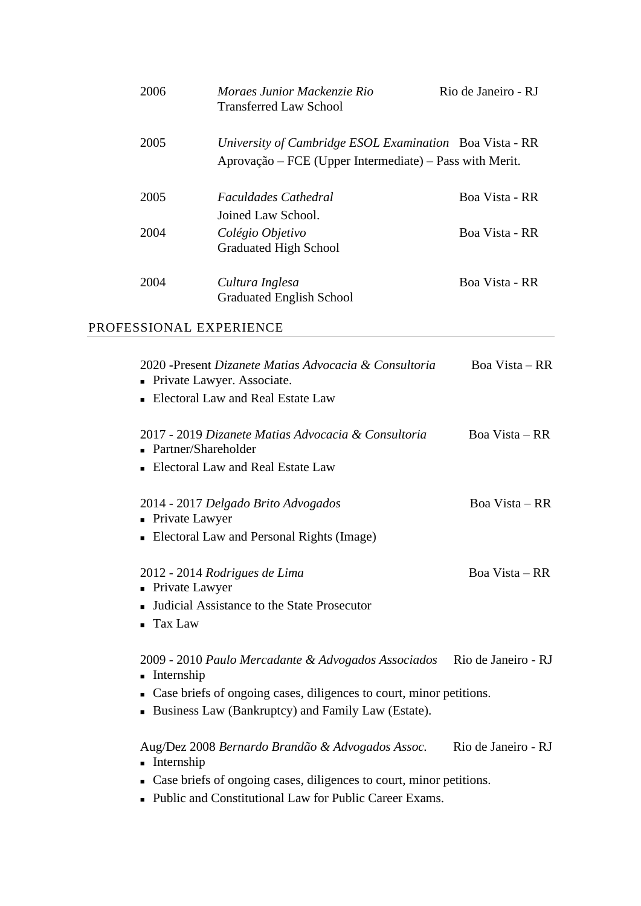| 2006 | Moraes Junior Mackenzie Rio<br><b>Transferred Law School</b>                                                       | Rio de Janeiro - RJ |
|------|--------------------------------------------------------------------------------------------------------------------|---------------------|
| 2005 | University of Cambridge ESOL Examination Boa Vista - RR<br>Aprovação – FCE (Upper Intermediate) – Pass with Merit. |                     |
| 2005 | <i>Faculdades Cathedral</i><br>Joined Law School.                                                                  | Boa Vista - RR      |
| 2004 | Colégio Objetivo<br><b>Graduated High School</b>                                                                   | Boa Vista - RR      |
| 2004 | Cultura Inglesa<br><b>Graduated English School</b>                                                                 | Boa Vista - RR      |

## PROFESSIONAL EXPERIENCE

| 2020 - Present Dizanete Matias Advocacia & Consultoria<br>• Private Lawyer. Associate.                                        | Boa Vista – RR      |
|-------------------------------------------------------------------------------------------------------------------------------|---------------------|
| • Electoral Law and Real Estate Law                                                                                           |                     |
| 2017 - 2019 Dizanete Matias Advocacia & Consultoria<br>• Partner/Shareholder                                                  | Boa Vista – RR      |
| • Electoral Law and Real Estate Law                                                                                           |                     |
| 2014 - 2017 Delgado Brito Advogados<br>• Private Lawyer                                                                       | Boa Vista – RR      |
| • Electoral Law and Personal Rights (Image)                                                                                   |                     |
| 2012 - 2014 Rodrigues de Lima<br>• Private Lawyer                                                                             | Boa Vista – RR      |
| Judicial Assistance to the State Prosecutor<br><b>Tax Law</b>                                                                 |                     |
| 2009 - 2010 Paulo Mercadante & Advogados Associados Rio de Janeiro - RJ<br>Internship                                         |                     |
| • Case briefs of ongoing cases, diligences to court, minor petitions.<br>• Business Law (Bankruptcy) and Family Law (Estate). |                     |
| Aug/Dez 2008 Bernardo Brandão & Advogados Assoc.<br>• Internship                                                              | Rio de Janeiro - RJ |
| • Case briefs of ongoing cases, diligences to court, minor petitions.                                                         |                     |

■ Public and Constitutional Law for Public Career Exams.